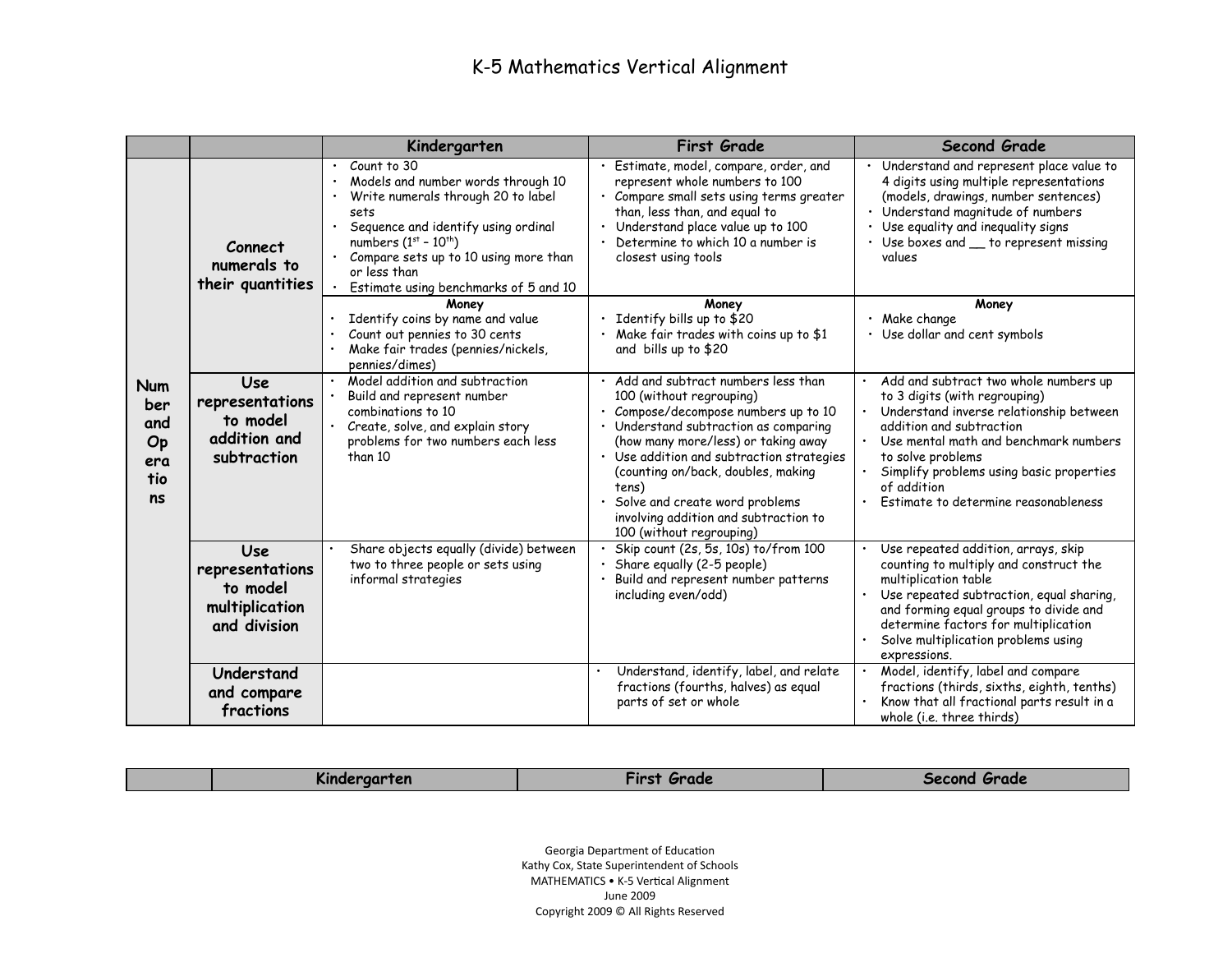|                                                    |                                                                             | Kindergarten                                                                                                                                                                                                                                                                    | <b>First Grade</b>                                                                                                                                                                                                                                                                                                                                                                      | <b>Second Grade</b>                                                                                                                                                                                                                                                                                            |
|----------------------------------------------------|-----------------------------------------------------------------------------|---------------------------------------------------------------------------------------------------------------------------------------------------------------------------------------------------------------------------------------------------------------------------------|-----------------------------------------------------------------------------------------------------------------------------------------------------------------------------------------------------------------------------------------------------------------------------------------------------------------------------------------------------------------------------------------|----------------------------------------------------------------------------------------------------------------------------------------------------------------------------------------------------------------------------------------------------------------------------------------------------------------|
|                                                    | Connect<br>numerals to<br>their quantities                                  | Count to 30<br>$\bullet$<br>Models and number words through 10<br>Write numerals through 20 to label<br>sets<br>Sequence and identify using ordinal<br>numbers $(1st - 10th)$<br>Compare sets up to 10 using more than<br>or less than<br>Estimate using benchmarks of 5 and 10 | · Estimate, model, compare, order, and<br>represent whole numbers to 100<br>· Compare small sets using terms greater<br>than, less than, and equal to<br>Understand place value up to 100<br>Determine to which 10 a number is<br>closest using tools                                                                                                                                   | $\overline{\cdot}$ Understand and represent place value to<br>4 digits using multiple representations<br>(models, drawings, number sentences)<br>· Understand magnitude of numbers<br>· Use equality and inequality signs<br>• Use boxes and _ to represent missing<br>values                                  |
|                                                    |                                                                             | Money<br>Identify coins by name and value<br>Count out pennies to 30 cents<br>Make fair trades (pennies/nickels,<br>pennies/dimes)                                                                                                                                              | Money<br>Identify bills up to \$20<br>Make fair trades with coins up to \$1<br>and bills up to \$20                                                                                                                                                                                                                                                                                     | Money<br>· Make change<br>• Use dollar and cent symbols                                                                                                                                                                                                                                                        |
| <b>Num</b><br>ber<br>and<br>Op<br>era<br>tio<br>ns | <b>Use</b><br>representations<br>to model<br>addition and<br>subtraction    | Model addition and subtraction<br>Build and represent number<br>combinations to 10<br>Create, solve, and explain story<br>problems for two numbers each less<br>than 10                                                                                                         | Add and subtract numbers less than<br>100 (without regrouping)<br>• Compose/decompose numbers up to 10<br>· Understand subtraction as comparing<br>(how many more/less) or taking away<br>Use addition and subtraction strategies<br>(counting on/back, doubles, making<br>tens)<br>Solve and create word problems<br>involving addition and subtraction to<br>100 (without regrouping) | Add and subtract two whole numbers up<br>to 3 digits (with regrouping)<br>Understand inverse relationship between<br>addition and subtraction<br>Use mental math and benchmark numbers<br>to solve problems<br>Simplify problems using basic properties<br>of addition<br>Estimate to determine reasonableness |
|                                                    | <b>Use</b><br>representations<br>to model<br>multiplication<br>and division | Share objects equally (divide) between<br>two to three people or sets using<br>informal strategies                                                                                                                                                                              | Skip count (2s, 5s, 10s) to/from 100<br>Share equally (2-5 people)<br>Build and represent number patterns<br>including even/odd)                                                                                                                                                                                                                                                        | Use repeated addition, arrays, skip<br>counting to multiply and construct the<br>multiplication table<br>Use repeated subtraction, equal sharing,<br>and forming equal groups to divide and<br>determine factors for multiplication<br>Solve multiplication problems using<br>expressions.                     |
|                                                    | Understand<br>and compare<br>fractions                                      |                                                                                                                                                                                                                                                                                 | Understand, identify, label, and relate<br>fractions (fourths, halves) as equal<br>parts of set or whole                                                                                                                                                                                                                                                                                | Model, identify, label and compare<br>fractions (thirds, sixths, eighth, tenths)<br>Know that all fractional parts result in a<br>whole (i.e. three thirds)                                                                                                                                                    |

| Kindergarten | Tirst<br>Grade | Second Grade |
|--------------|----------------|--------------|
|              |                |              |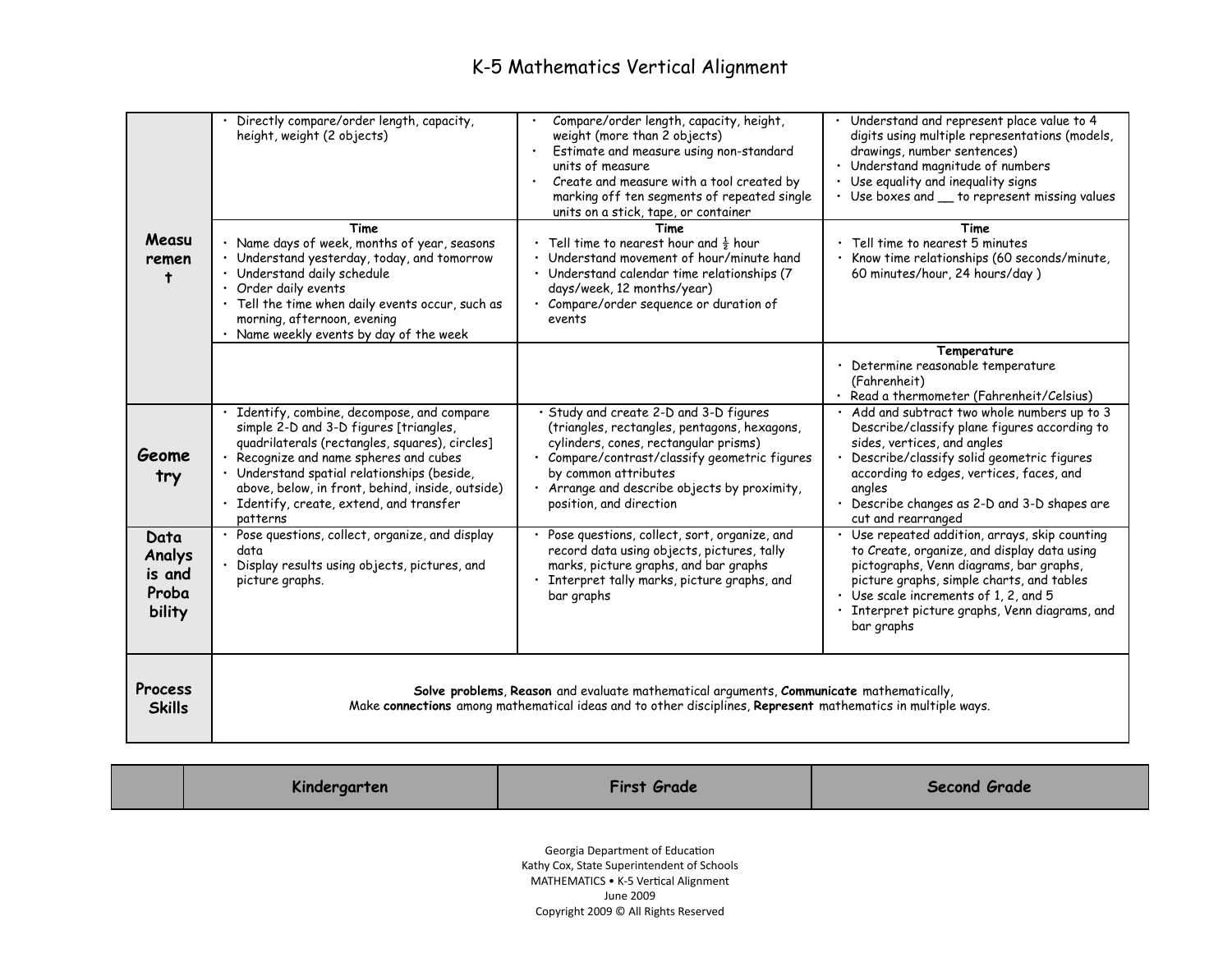| Measu<br>remen<br>Ť                         | Directly compare/order length, capacity,<br>height, weight (2 objects)<br>Time<br>· Name days of week, months of year, seasons<br>Understand yesterday, today, and tomorrow<br>· Understand daily schedule<br>· Order daily events<br>· Tell the time when daily events occur, such as<br>morning, afternoon, evening<br>Name weekly events by day of the week | Compare/order length, capacity, height,<br>weight (more than 2 objects)<br>Estimate and measure using non-standard<br>units of measure<br>Create and measure with a tool created by<br>marking off ten segments of repeated single<br>units on a stick, tape, or container<br>Time<br>• Tell time to nearest hour and $\frac{1}{2}$ hour<br>· Understand movement of hour/minute hand<br>· Understand calendar time relationships (7)<br>days/week, 12 months/year)<br>· Compare/order sequence or duration of<br>events | Understand and represent place value to 4<br>digits using multiple representations (models,<br>drawings, number sentences)<br>Understand magnitude of numbers<br>Use equality and inequality signs<br>Use boxes and _ to represent missing values<br><b>Time</b><br>Tell time to nearest 5 minutes<br>Know time relationships (60 seconds/minute,<br>60 minutes/hour, 24 hours/day) |
|---------------------------------------------|----------------------------------------------------------------------------------------------------------------------------------------------------------------------------------------------------------------------------------------------------------------------------------------------------------------------------------------------------------------|--------------------------------------------------------------------------------------------------------------------------------------------------------------------------------------------------------------------------------------------------------------------------------------------------------------------------------------------------------------------------------------------------------------------------------------------------------------------------------------------------------------------------|-------------------------------------------------------------------------------------------------------------------------------------------------------------------------------------------------------------------------------------------------------------------------------------------------------------------------------------------------------------------------------------|
|                                             |                                                                                                                                                                                                                                                                                                                                                                |                                                                                                                                                                                                                                                                                                                                                                                                                                                                                                                          | Temperature<br>· Determine reasonable temperature<br>(Fahrenheit)<br>· Read a thermometer (Fahrenheit/Celsius)                                                                                                                                                                                                                                                                      |
| Geome<br>try                                | Identify, combine, decompose, and compare<br>simple 2-D and 3-D figures [triangles,<br>quadrilaterals (rectangles, squares), circles]<br>• Recognize and name spheres and cubes<br>· Understand spatial relationships (beside,<br>above, below, in front, behind, inside, outside)<br>Identify, create, extend, and transfer<br>patterns                       | · Study and create 2-D and 3-D figures<br>(triangles, rectangles, pentagons, hexagons,<br>cylinders, cones, rectangular prisms)<br>· Compare/contrast/classify geometric figures<br>by common attributes<br>· Arrange and describe objects by proximity,<br>position, and direction                                                                                                                                                                                                                                      | · Add and subtract two whole numbers up to 3<br>Describe/classify plane figures according to<br>sides, vertices, and angles<br>Describe/classify solid geometric figures<br>according to edges, vertices, faces, and<br>angles<br>Describe changes as 2-D and 3-D shapes are<br>cut and rearranged                                                                                  |
| Data<br>Analys<br>is and<br>Proba<br>bility | · Pose questions, collect, organize, and display<br>data<br>Display results using objects, pictures, and<br>picture graphs.                                                                                                                                                                                                                                    | Pose questions, collect, sort, organize, and<br>record data using objects, pictures, tally<br>marks, picture graphs, and bar graphs<br>Interpret tally marks, picture graphs, and<br>bar graphs                                                                                                                                                                                                                                                                                                                          | Use repeated addition, arrays, skip counting<br>to Create, organize, and display data using<br>pictographs, Venn diagrams, bar graphs,<br>picture graphs, simple charts, and tables<br>· Use scale increments of 1, 2, and 5<br>Interpret picture graphs, Venn diagrams, and<br>bar graphs                                                                                          |
| Process<br><b>Skills</b>                    |                                                                                                                                                                                                                                                                                                                                                                | Solve problems, Reason and evaluate mathematical arguments, Communicate mathematically,<br>Make connections among mathematical ideas and to other disciplines, Represent mathematics in multiple ways.                                                                                                                                                                                                                                                                                                                   |                                                                                                                                                                                                                                                                                                                                                                                     |

| Kindergarten | <b>First Grade</b>                                                                                                                                                                                                                                                                                                                 | <b>Second Grade</b> |
|--------------|------------------------------------------------------------------------------------------------------------------------------------------------------------------------------------------------------------------------------------------------------------------------------------------------------------------------------------|---------------------|
|              | Georgia Department of Education                                                                                                                                                                                                                                                                                                    |                     |
|              | $\overline{a}$ and $\overline{a}$ and $\overline{a}$ and $\overline{a}$ and $\overline{a}$ and $\overline{a}$ and $\overline{a}$ and $\overline{a}$ and $\overline{a}$ and $\overline{a}$ and $\overline{a}$ and $\overline{a}$ and $\overline{a}$ and $\overline{a}$ and $\overline{a}$ and $\overline{a}$ and $\overline{a}$ and |                     |

Kathy Cox, State Superintendent of Schools MATHEMATICS • K-5 Vertical Alignment June 2009 Copyright 2009 © All Rights Reserved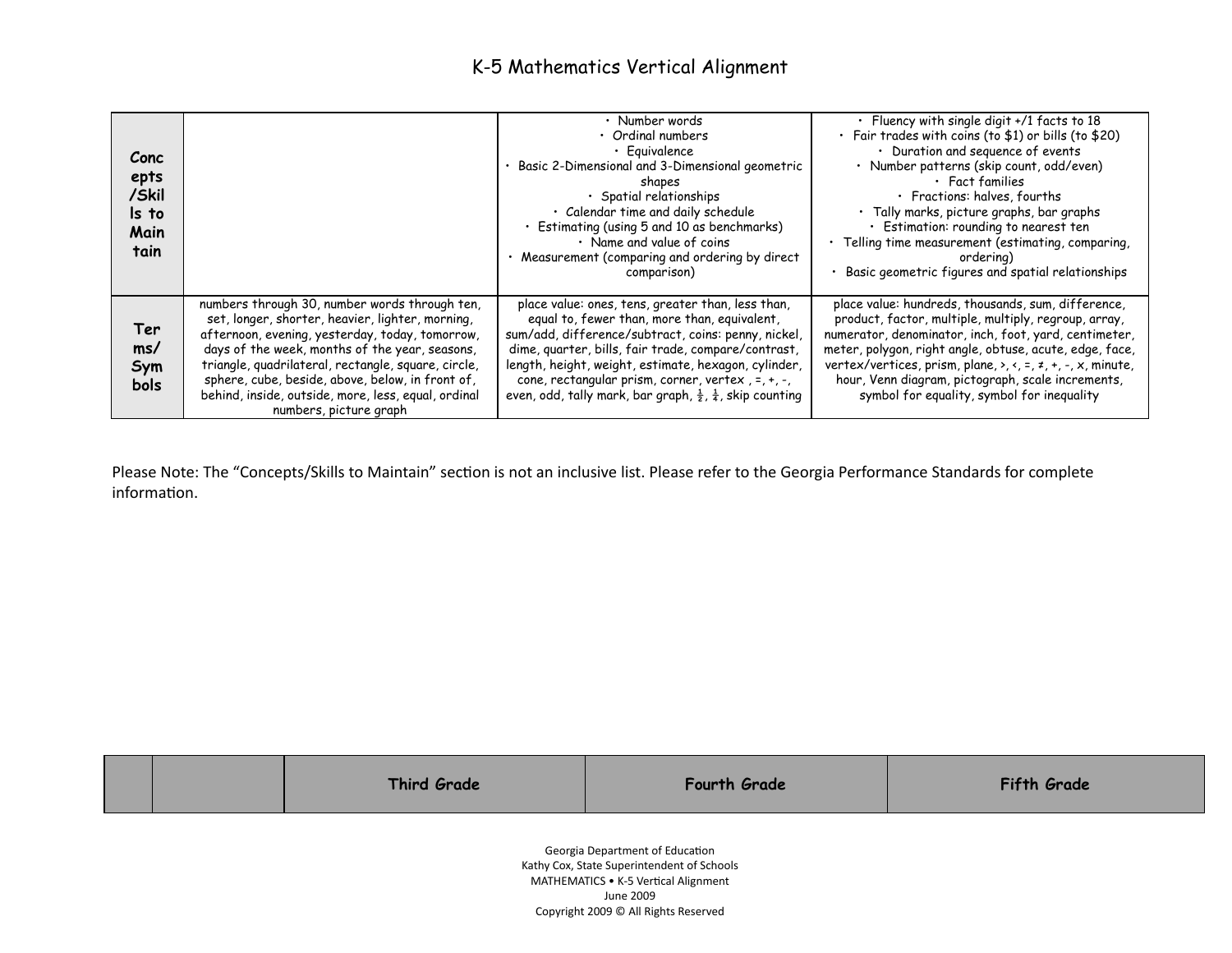| Conc<br>epts<br>/Skil<br>Is to<br>Main<br>tain |                                                                                                                                                                                                                                                                                                                                                                                                    | • Number words<br>• Ordinal numbers<br>· Equivalence<br>Basic 2-Dimensional and 3-Dimensional geometric<br>shapes<br>· Spatial relationships<br>· Calendar time and daily schedule<br>· Estimating (using 5 and 10 as benchmarks)<br>• Name and value of coins<br>Measurement (comparing and ordering by direct<br>comparison)                                                                                           | · Fluency with single digit +/1 facts to 18<br>· Fair trades with coins (to \$1) or bills (to \$20)<br>• Duration and sequence of events<br>· Number patterns (skip count, odd/even)<br>$\cdot$ Fact families<br>· Fractions: halves, fourths<br>$\cdot$ Tally marks, picture graphs, bar graphs<br>$\cdot$ Estimation: rounding to nearest ten<br>· Telling time measurement (estimating, comparing,<br>ordering)<br>Basic geometric figures and spatial relationships |
|------------------------------------------------|----------------------------------------------------------------------------------------------------------------------------------------------------------------------------------------------------------------------------------------------------------------------------------------------------------------------------------------------------------------------------------------------------|--------------------------------------------------------------------------------------------------------------------------------------------------------------------------------------------------------------------------------------------------------------------------------------------------------------------------------------------------------------------------------------------------------------------------|-------------------------------------------------------------------------------------------------------------------------------------------------------------------------------------------------------------------------------------------------------------------------------------------------------------------------------------------------------------------------------------------------------------------------------------------------------------------------|
| Ter<br>ms/<br>Sym<br><b>bols</b>               | numbers through 30, number words through ten,<br>set, longer, shorter, heavier, lighter, morning,<br>afternoon, evening, yesterday, today, tomorrow,<br>days of the week, months of the year, seasons,<br>triangle, quadrilateral, rectangle, square, circle,<br>sphere, cube, beside, above, below, in front of,<br>behind, inside, outside, more, less, equal, ordinal<br>numbers, picture graph | place value: ones, tens, greater than, less than,<br>equal to, fewer than, more than, equivalent,<br>sum/add, difference/subtract, coins: penny, nickel,<br>dime, quarter, bills, fair trade, compare/contrast,<br>length, height, weight, estimate, hexagon, cylinder,<br>cone, rectangular prism, corner, vertex, $=$ , $+$ , $-$ ,<br>even, odd, tally mark, bar graph, $\frac{1}{2}$ , $\frac{1}{4}$ , skip counting | place value: hundreds, thousands, sum, difference,<br>product, factor, multiple, multiply, regroup, array,<br>numerator, denominator, inch, foot, yard, centimeter,<br>meter, polygon, right angle, obtuse, acute, edge, face,<br>vertex/vertices, prism, plane, $\lambda$ , $\lambda$ , $\lambda$ , $\lambda$ , $\lambda$ , minute,<br>hour, Venn diagram, pictograph, scale increments,<br>symbol for equality, symbol for inequality                                 |

Please Note: The "Concepts/Skills to Maintain" section is not an inclusive list. Please refer to the Georgia Performance Standards for complete information.

|                                                                               |  | <b>Third Grade</b> | <b>Fourth Grade</b> | <b>Fifth Grade</b> |
|-------------------------------------------------------------------------------|--|--------------------|---------------------|--------------------|
| Georgia Department of Education<br>Kathy Cox, State Superintendent of Schools |  |                    |                     |                    |

MATHEMATICS • K-5 Vertical Alignment June 2009 Copyright 2009 © All Rights Reserved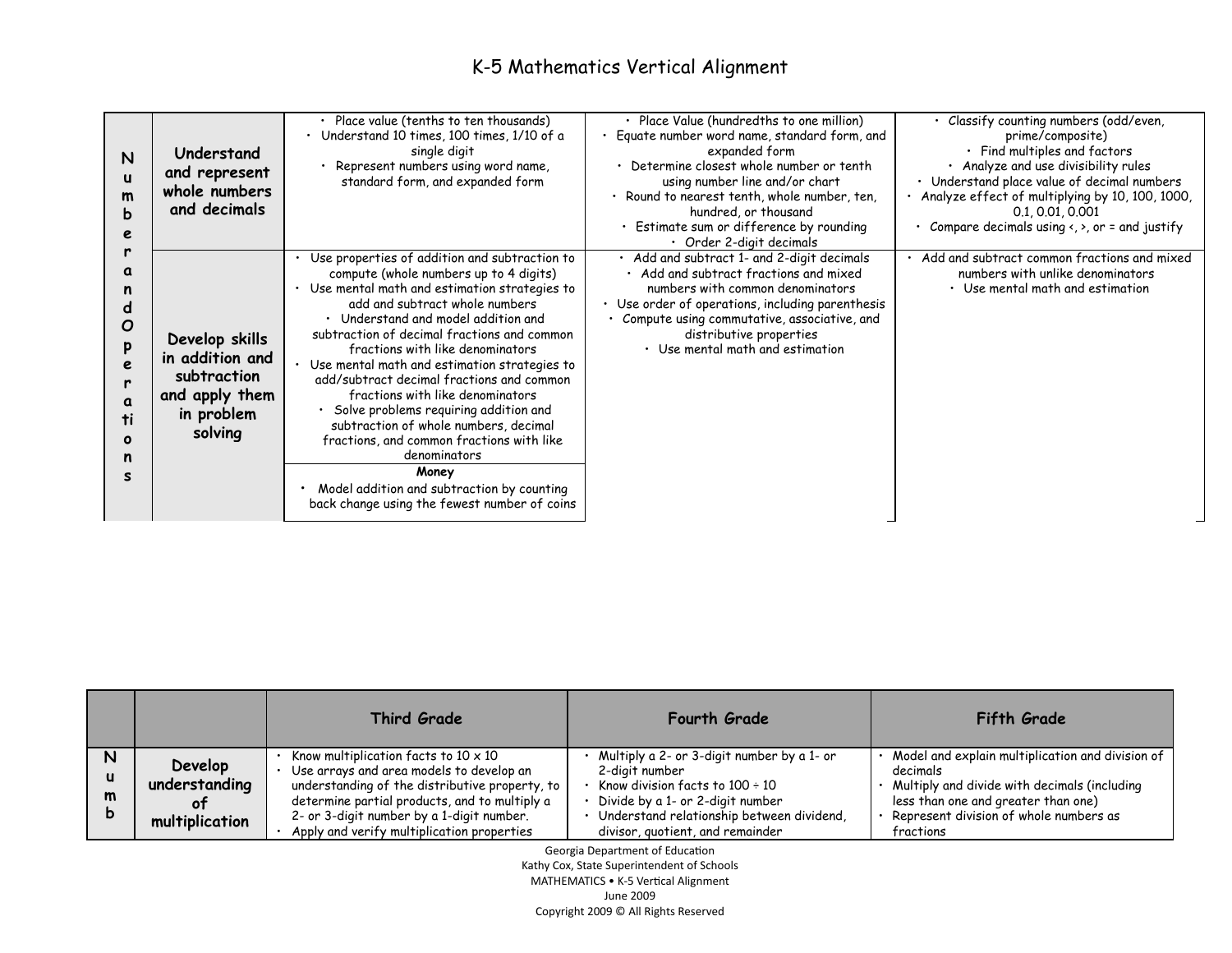| N<br>$\mathbf{u}$<br>$\mathsf{m}$<br>b<br>e          | Understand<br>and represent<br>whole numbers<br>and decimals                                | Place value (tenths to ten thousands)<br>Understand 10 times, 100 times, 1/10 of a<br>single digit<br>Represent numbers using word name,<br>standard form, and expanded form                                                                                                                                                                                                                                                                                                                                                                                                                                                                                                                 | · Place Value (hundredths to one million)<br>Equate number word name, standard form, and<br>expanded form<br>• Determine closest whole number or tenth<br>using number line and/or chart<br>· Round to nearest tenth, whole number, ten,<br>hundred, or thousand<br>· Estimate sum or difference by rounding<br>$\cdot$ Order 2-digit decimals | · Classify counting numbers (odd/even,<br>prime/composite)<br>$\cdot$ Find multiples and factors<br>· Analyze and use divisibility rules<br>Understand place value of decimal numbers<br>· Analyze effect of multiplying by 10, 100, 1000,<br>0.1, 0.01, 0.001<br>• Compare decimals using $\langle , \rangle$ , or = and justify |
|------------------------------------------------------|---------------------------------------------------------------------------------------------|----------------------------------------------------------------------------------------------------------------------------------------------------------------------------------------------------------------------------------------------------------------------------------------------------------------------------------------------------------------------------------------------------------------------------------------------------------------------------------------------------------------------------------------------------------------------------------------------------------------------------------------------------------------------------------------------|------------------------------------------------------------------------------------------------------------------------------------------------------------------------------------------------------------------------------------------------------------------------------------------------------------------------------------------------|-----------------------------------------------------------------------------------------------------------------------------------------------------------------------------------------------------------------------------------------------------------------------------------------------------------------------------------|
| a<br>n<br>a<br>O<br>p<br>e<br>a<br>ti<br>O<br>n<br>s | Develop skills<br>in addition and<br>subtraction<br>and apply them<br>in problem<br>solving | Use properties of addition and subtraction to<br>compute (whole numbers up to 4 digits)<br>• Use mental math and estimation strategies to<br>add and subtract whole numbers<br>• Understand and model addition and<br>subtraction of decimal fractions and common<br>fractions with like denominators<br>Use mental math and estimation strategies to<br>add/subtract decimal fractions and common<br>fractions with like denominators<br>Solve problems requiring addition and<br>subtraction of whole numbers, decimal<br>fractions, and common fractions with like<br>denominators<br>Money<br>Model addition and subtraction by counting<br>back change using the fewest number of coins | · Add and subtract 1- and 2-digit decimals<br>• Add and subtract fractions and mixed<br>numbers with common denominators<br>• Use order of operations, including parenthesis<br>Compute using commutative, associative, and<br>distributive properties<br>• Use mental math and estimation                                                     | · Add and subtract common fractions and mixed<br>numbers with unlike denominators<br>• Use mental math and estimation                                                                                                                                                                                                             |

|                  |                                                   | Third Grade                                                                                                                                                                                                                                                                             | <b>Fourth Grade</b>                                                                                                                                                                                                       | Fifth Grade                                                                                                                                                                                                |
|------------------|---------------------------------------------------|-----------------------------------------------------------------------------------------------------------------------------------------------------------------------------------------------------------------------------------------------------------------------------------------|---------------------------------------------------------------------------------------------------------------------------------------------------------------------------------------------------------------------------|------------------------------------------------------------------------------------------------------------------------------------------------------------------------------------------------------------|
| N<br>u<br>m<br>D | <b>Develop</b><br>understanding<br>multiplication | Know multiplication facts to $10 \times 10$<br>• Use arrays and area models to develop an<br>understanding of the distributive property, to<br>determine partial products, and to multiply a<br>2- or 3-digit number by a 1-digit number.<br>Apply and verify multiplication properties | Multiply a 2- or 3-digit number by a 1- or<br>2-diait number<br>Know division facts to $100 \div 10$<br>Divide by a 1- or 2-digit number<br>Understand relationship between dividend,<br>divisor, quotient, and remainder | Model and explain multiplication and division of<br>decimals<br>Multiply and divide with decimals (including<br>less than one and greater than one)<br>Represent division of whole numbers as<br>fractions |

Georgia Department of Education

Kathy Cox, State Superintendent of Schools

MATHEMATICS • K-5 Vertical Alignment

June 2009

Copyright 2009 © All Rights Reserved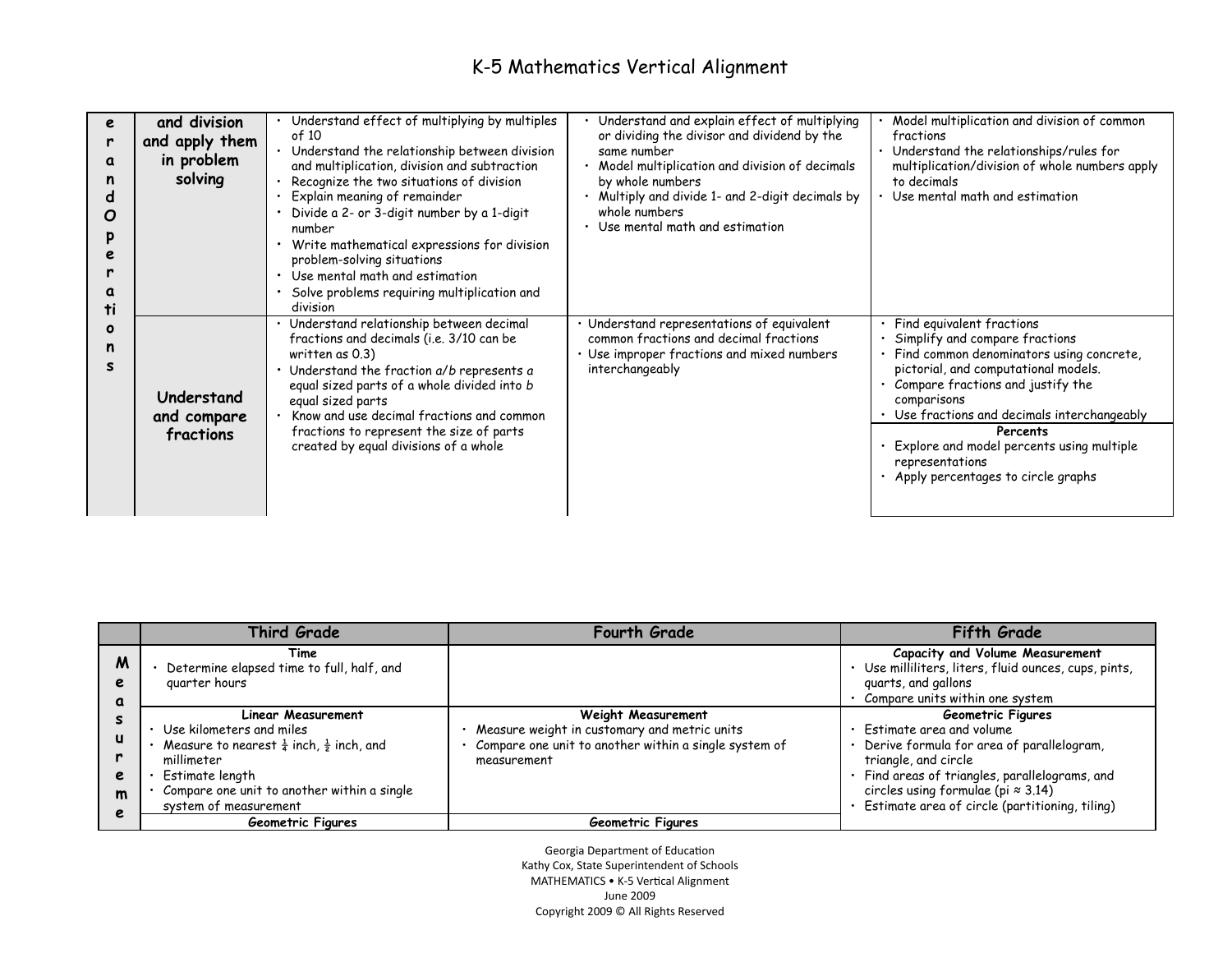| e<br>r<br>α<br>ti | and division<br>and apply them<br>in problem<br>solving | Understand effect of multiplying by multiples<br>of 10<br>• Understand the relationship between division<br>and multiplication, division and subtraction<br>Recognize the two situations of division<br>Explain meaning of remainder<br>Divide a 2- or 3-digit number by a 1-digit<br>number<br>• Write mathematical expressions for division<br>problem-solving situations<br>• Use mental math and estimation<br>Solve problems requiring multiplication and<br>division | Understand and explain effect of multiplying<br>or dividing the divisor and dividend by the<br>same number<br>Model multiplication and division of decimals<br>by whole numbers<br>· Multiply and divide 1- and 2-digit decimals by<br>whole numbers<br>Use mental math and estimation | Model multiplication and division of common<br>fractions<br>· Understand the relationships/rules for<br>multiplication/division of whole numbers apply<br>to decimals<br>Use mental math and estimation                                                                                                                                                             |
|-------------------|---------------------------------------------------------|----------------------------------------------------------------------------------------------------------------------------------------------------------------------------------------------------------------------------------------------------------------------------------------------------------------------------------------------------------------------------------------------------------------------------------------------------------------------------|----------------------------------------------------------------------------------------------------------------------------------------------------------------------------------------------------------------------------------------------------------------------------------------|---------------------------------------------------------------------------------------------------------------------------------------------------------------------------------------------------------------------------------------------------------------------------------------------------------------------------------------------------------------------|
| o<br>n            | Understand<br>and compare<br>fractions                  | · Understand relationship between decimal<br>fractions and decimals (i.e. 3/10 can be<br>written as $0.3$ )<br>• Understand the fraction a/b represents a<br>equal sized parts of a whole divided into b<br>equal sized parts<br>Know and use decimal fractions and common<br>fractions to represent the size of parts<br>created by equal divisions of a whole                                                                                                            | Understand representations of equivalent<br>common fractions and decimal fractions<br>Use improper fractions and mixed numbers<br>interchangeably                                                                                                                                      | Find equivalent fractions<br>Simplify and compare fractions<br>Find common denominators using concrete,<br>pictorial, and computational models.<br>Compare fractions and justify the<br>comparisons<br>Use fractions and decimals interchangeably<br>Percents<br>Explore and model percents using multiple<br>representations<br>Apply percentages to circle graphs |

|                        | <b>Third Grade</b>                                                                                                                                                                                                               | <b>Fourth Grade</b>                                                                                                                               | <b>Fifth Grade</b>                                                                                                                                                                                                                                                         |
|------------------------|----------------------------------------------------------------------------------------------------------------------------------------------------------------------------------------------------------------------------------|---------------------------------------------------------------------------------------------------------------------------------------------------|----------------------------------------------------------------------------------------------------------------------------------------------------------------------------------------------------------------------------------------------------------------------------|
| M<br>e<br>a            | Time<br>Determine elapsed time to full, half, and<br>guarter hours                                                                                                                                                               |                                                                                                                                                   | <b>Capacity and Volume Measurement</b><br>· Use milliliters, liters, fluid ounces, cups, pints,<br>guarts, and gallons<br>Compare units within one system                                                                                                                  |
| e<br>$\mathsf{m}$<br>e | <b>Linear Measurement</b><br>Use kilometers and miles<br>Measure to nearest $\frac{1}{4}$ inch, $\frac{1}{2}$ inch, and<br>millimeter<br>Estimate length<br>Compare one unit to another within a single<br>system of measurement | <b>Weight Measurement</b><br>Measure weight in customary and metric units<br>Compare one unit to another within a single system of<br>measurement | <b>Geometric Figures</b><br>Estimate area and volume<br>Derive formula for area of parallelogram,<br>triangle, and circle<br>Find areas of triangles, parallelograms, and<br>circles using formulae (pi $\approx 3.14$ )<br>Estimate area of circle (partitioning, tiling) |
|                        | <b>Geometric Figures</b>                                                                                                                                                                                                         | Geometric Figures                                                                                                                                 |                                                                                                                                                                                                                                                                            |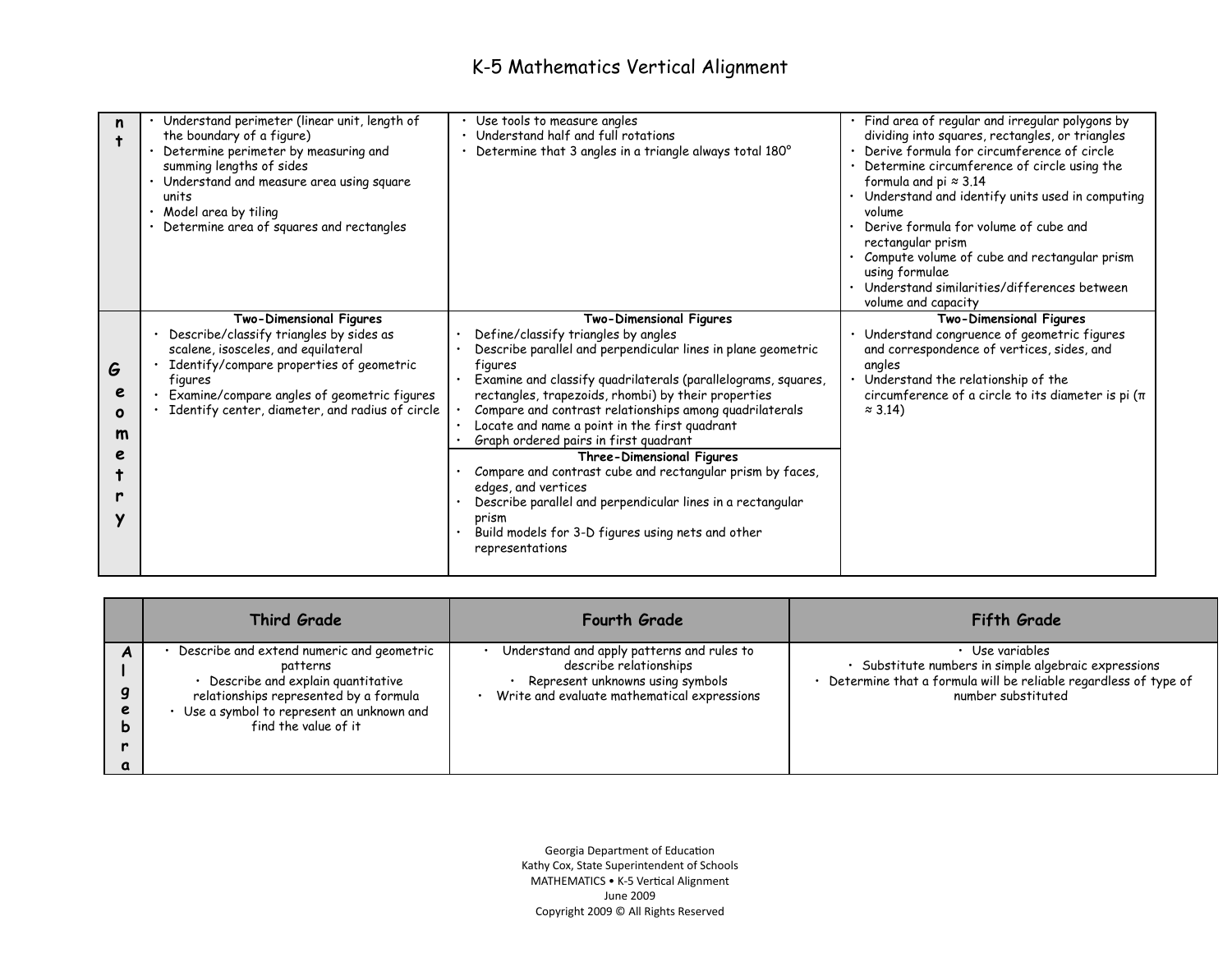| n                                    | Understand perimeter (linear unit, length of<br>the boundary of a figure)<br>Determine perimeter by measuring and<br>summing lengths of sides<br>• Understand and measure area using square<br>units<br>Model area by tiling<br>Determine area of squares and rectangles  | Use tools to measure angles<br>Understand half and full rotations<br>Determine that 3 angles in a triangle always total 180°                                                                                                                                                                                                                                                                                                                                                                                                                                                                                                                                                                         | Find area of regular and irregular polygons by<br>dividing into squares, rectangles, or triangles<br>Derive formula for circumference of circle<br>Determine circumference of circle using the<br>formula and pi $\approx 3.14$<br>Understand and identify units used in computing<br>volume<br>Derive formula for volume of cube and<br>rectangular prism<br>Compute volume of cube and rectangular prism<br>using formulae<br>Understand similarities/differences between<br>volume and capacity |
|--------------------------------------|---------------------------------------------------------------------------------------------------------------------------------------------------------------------------------------------------------------------------------------------------------------------------|------------------------------------------------------------------------------------------------------------------------------------------------------------------------------------------------------------------------------------------------------------------------------------------------------------------------------------------------------------------------------------------------------------------------------------------------------------------------------------------------------------------------------------------------------------------------------------------------------------------------------------------------------------------------------------------------------|----------------------------------------------------------------------------------------------------------------------------------------------------------------------------------------------------------------------------------------------------------------------------------------------------------------------------------------------------------------------------------------------------------------------------------------------------------------------------------------------------|
| G<br>e<br>$\mathbf o$<br>m<br>e<br>v | <b>Two-Dimensional Figures</b><br>Describe/classify triangles by sides as<br>scalene, isosceles, and equilateral<br>Identify/compare properties of geometric<br>figures<br>Examine/compare angles of geometric figures<br>Identify center, diameter, and radius of circle | <b>Two-Dimensional Figures</b><br>Define/classify triangles by angles<br>Describe parallel and perpendicular lines in plane geometric<br>figures<br>Examine and classify quadrilaterals (parallelograms, squares,<br>rectangles, trapezoids, rhombi) by their properties<br>Compare and contrast relationships among quadrilaterals<br>Locate and name a point in the first quadrant<br>Graph ordered pairs in first quadrant<br><b>Three-Dimensional Figures</b><br>Compare and contrast cube and rectangular prism by faces,<br>edges, and vertices<br>Describe parallel and perpendicular lines in a rectangular<br>prism<br>Build models for 3-D figures using nets and other<br>representations | <b>Two-Dimensional Figures</b><br>Understand congruence of geometric figures<br>and correspondence of vertices, sides, and<br>angles<br>Understand the relationship of the<br>circumference of a circle to its diameter is pi $(\pi)$<br>$\approx$ 3.14)                                                                                                                                                                                                                                           |

|   | <b>Third Grade</b>                                                                                                                                                                                       | <b>Fourth Grade</b>                                                                                                                                     | <b>Fifth Grade</b>                                                                                                                                           |
|---|----------------------------------------------------------------------------------------------------------------------------------------------------------------------------------------------------------|---------------------------------------------------------------------------------------------------------------------------------------------------------|--------------------------------------------------------------------------------------------------------------------------------------------------------------|
| e | Describe and extend numeric and geometric<br>patterns<br>Describe and explain quantitative<br>relationships represented by a formula<br>Use a symbol to represent an unknown and<br>find the value of it | Understand and apply patterns and rules to<br>describe relationships<br>Represent unknowns using symbols<br>Write and evaluate mathematical expressions | Use variables<br>Substitute numbers in simple algebraic expressions<br>Determine that a formula will be reliable regardless of type of<br>number substituted |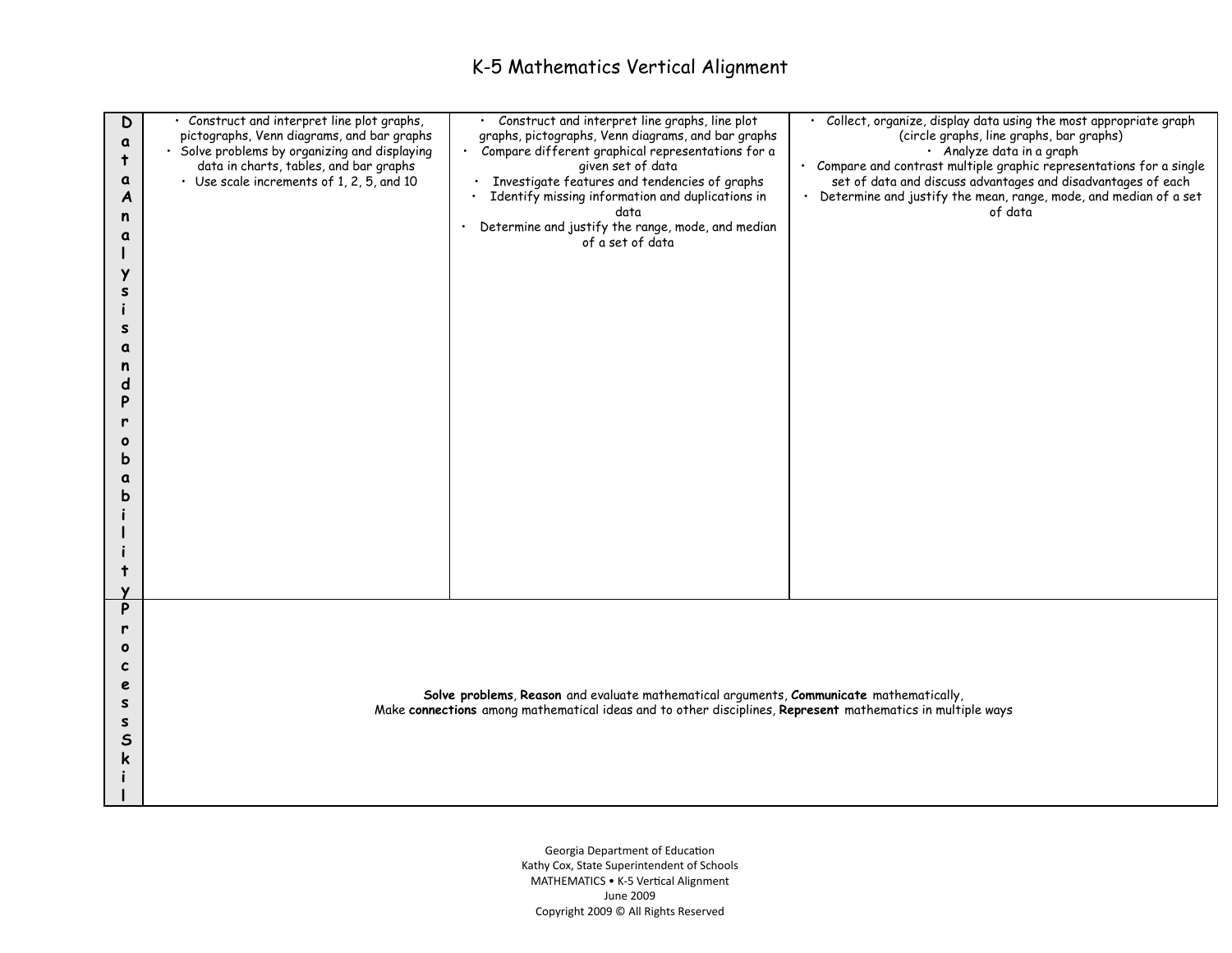| D<br>a<br>$\ddagger$<br>a<br>A<br>n<br>a<br>Y<br>s<br>s<br>a<br>n<br>d<br>P<br>٥<br>b<br>a<br>b | · Construct and interpret line plot graphs,<br>pictographs, Venn diagrams, and bar graphs<br>· Solve problems by organizing and displaying<br>data in charts, tables, and bar graphs<br>· Use scale increments of 1, 2, 5, and 10 | · Construct and interpret line graphs, line plot<br>graphs, pictographs, Venn diagrams, and bar graphs<br>· Compare different graphical representations for a<br>given set of data<br>· Investigate features and tendencies of graphs<br>Identify missing information and duplications in<br>data<br>Determine and justify the range, mode, and median<br>$\bullet$ .<br>of a set of data | · Collect, organize, display data using the most appropriate graph<br>(circle graphs, line graphs, bar graphs)<br>· Analyze data in a graph<br>· Compare and contrast multiple graphic representations for a single<br>set of data and discuss advantages and disadvantages of each<br>· Determine and justify the mean, range, mode, and median of a set<br>of data |  |
|-------------------------------------------------------------------------------------------------|-----------------------------------------------------------------------------------------------------------------------------------------------------------------------------------------------------------------------------------|-------------------------------------------------------------------------------------------------------------------------------------------------------------------------------------------------------------------------------------------------------------------------------------------------------------------------------------------------------------------------------------------|----------------------------------------------------------------------------------------------------------------------------------------------------------------------------------------------------------------------------------------------------------------------------------------------------------------------------------------------------------------------|--|
| P<br>r<br>$\mathbf o$<br>c<br>e<br>s<br>s<br>$\mathsf{s}$<br>k                                  | Solve problems, Reason and evaluate mathematical arguments, Communicate mathematically,<br>Make connections among mathematical ideas and to other disciplines, Represent mathematics in multiple ways                             |                                                                                                                                                                                                                                                                                                                                                                                           |                                                                                                                                                                                                                                                                                                                                                                      |  |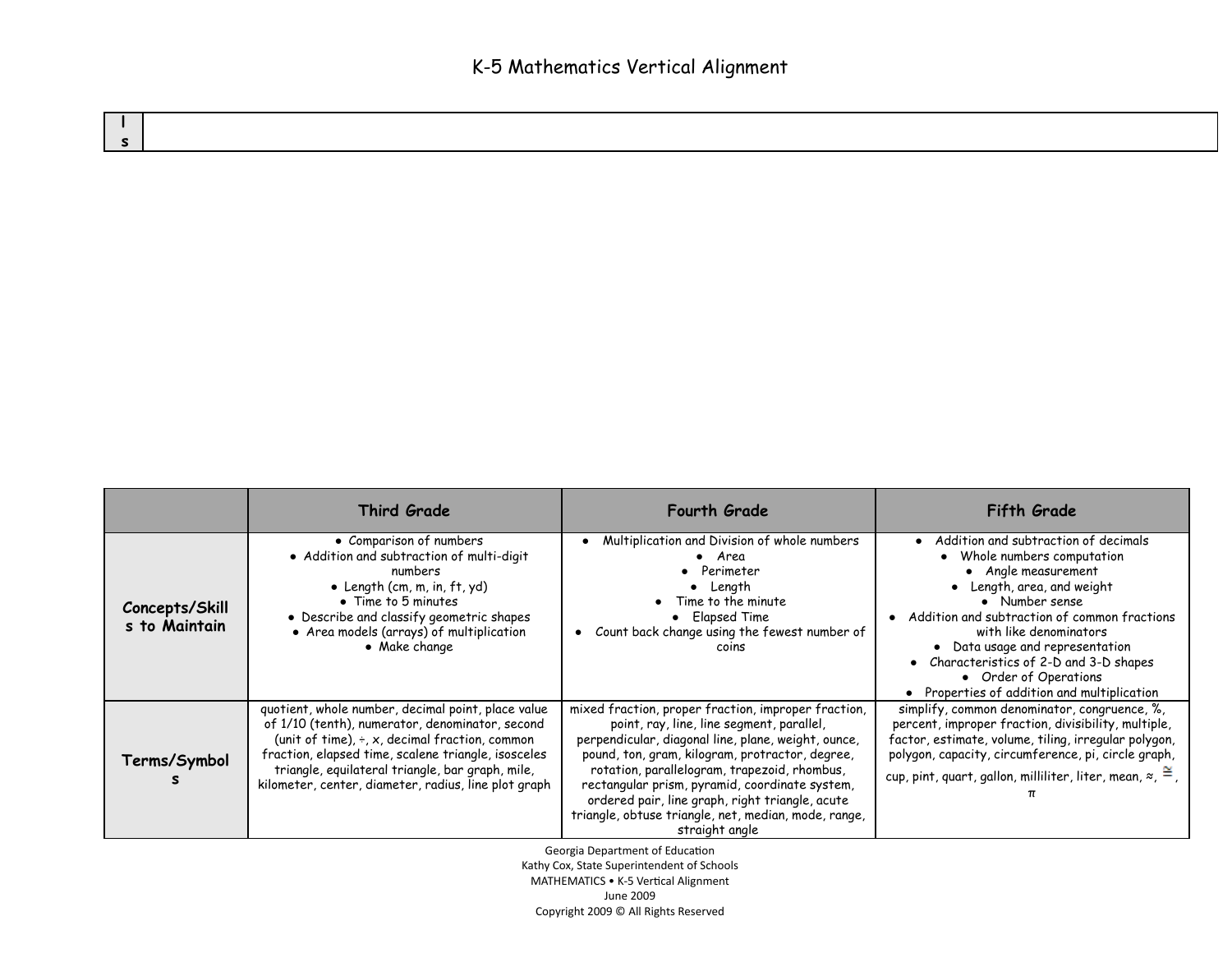|                                 | Third Grade                                                                                                                                                                                                                                                                                                                      | <b>Fourth Grade</b>                                                                                                                                                                                                                                                                                                                                                                                                                       | Fifth Grade                                                                                                                                                                                                                                                                                                                                                            |
|---------------------------------|----------------------------------------------------------------------------------------------------------------------------------------------------------------------------------------------------------------------------------------------------------------------------------------------------------------------------------|-------------------------------------------------------------------------------------------------------------------------------------------------------------------------------------------------------------------------------------------------------------------------------------------------------------------------------------------------------------------------------------------------------------------------------------------|------------------------------------------------------------------------------------------------------------------------------------------------------------------------------------------------------------------------------------------------------------------------------------------------------------------------------------------------------------------------|
| Concepts/Skill<br>s to Maintain | • Comparison of numbers<br>• Addition and subtraction of multi-digit<br>numbers<br>• Length (cm, m, in, $ft$ , $yd$ )<br>• Time to 5 minutes<br>• Describe and classify geometric shapes<br>• Area models (arrays) of multiplication<br>• Make change                                                                            | • Multiplication and Division of whole numbers<br>• Area<br>Perimeter<br>Length<br>Time to the minute<br>• Elapsed Time<br>Count back change using the fewest number of<br>coins                                                                                                                                                                                                                                                          | Addition and subtraction of decimals<br>Whole numbers computation<br>• Angle measurement<br>• Length, area, and weight<br>• Number sense<br>Addition and subtraction of common fractions<br>with like denominators<br>• Data usage and representation<br>Characteristics of 2-D and 3-D shapes<br>• Order of Operations<br>• Properties of addition and multiplication |
| Terms/Symbol                    | quotient, whole number, decimal point, place value<br>of 1/10 (tenth), numerator, denominator, second<br>(unit of time), $\div$ , x, decimal fraction, common<br>fraction, elapsed time, scalene triangle, isosceles<br>triangle, equilateral triangle, bar graph, mile,<br>kilometer, center, diameter, radius, line plot graph | mixed fraction, proper fraction, improper fraction,<br>point, ray, line, line segment, parallel,<br>perpendicular, diagonal line, plane, weight, ounce,<br>pound, ton, gram, kilogram, protractor, degree,<br>rotation, parallelogram, trapezoid, rhombus,<br>rectangular prism, pyramid, coordinate system,<br>ordered pair, line graph, right triangle, acute<br>triangle, obtuse triangle, net, median, mode, range,<br>straight angle | simplify, common denominator, congruence, %,<br>percent, improper fraction, divisibility, multiple,<br>factor, estimate, volume, tiling, irregular polygon,<br>polygon, capacity, circumference, pi, circle graph,<br>cup, pint, quart, gallon, milliliter, liter, mean, $\approx$ , $\approx$ ,                                                                       |

Georgia Department of Education

Kathy Cox, State Superintendent of Schools MATHEMATICS • K-5 Vertical Alignment June 2009

Copyright 2009 © All Rights Reserved